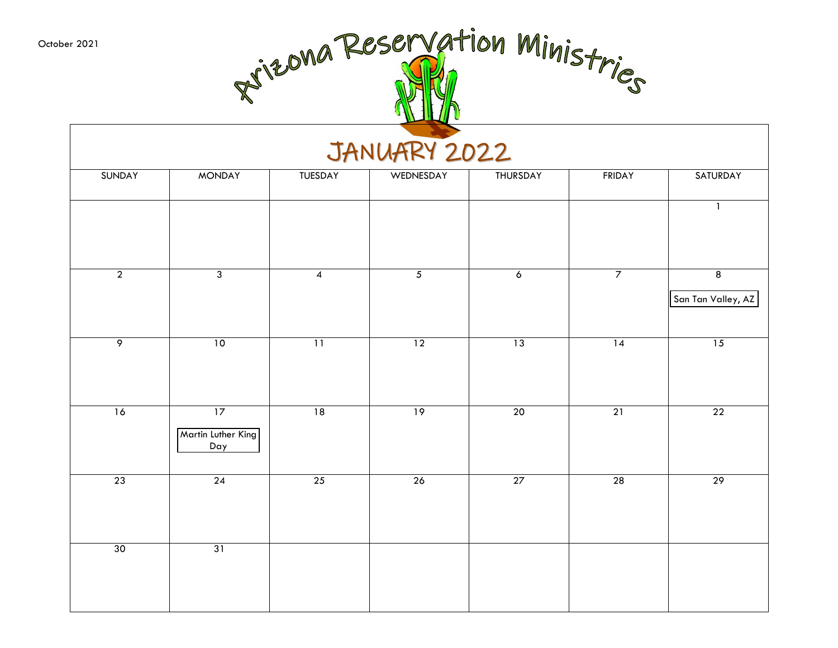October 2021

| er 2021         | Rizona Reservation Ministries<br>JANUARY 2022 |                 |                 |                 |                 |                         |  |  |  |  |  |
|-----------------|-----------------------------------------------|-----------------|-----------------|-----------------|-----------------|-------------------------|--|--|--|--|--|
| SUNDAY          | <b>MONDAY</b>                                 | TUESDAY         | WEDNESDAY       | THURSDAY        | <b>FRIDAY</b>   | SATURDAY                |  |  |  |  |  |
|                 |                                               |                 |                 |                 |                 | $\mathbf{1}$            |  |  |  |  |  |
| $\overline{2}$  | $\overline{3}$                                | 4               | $\sqrt{5}$      | 6               | 7               | 8<br>San Tan Valley, AZ |  |  |  |  |  |
| $\overline{9}$  | 10                                            | 11              | $\overline{12}$ | $\overline{13}$ | 14              | $\overline{15}$         |  |  |  |  |  |
| 16              | $\overline{17}$<br>Martin Luther King<br>Day  | 18              | $\overline{19}$ | $\overline{20}$ | 21              | $\overline{22}$         |  |  |  |  |  |
| $\overline{23}$ | $\overline{24}$                               | $\overline{25}$ | $\overline{26}$ | $\overline{27}$ | $\overline{28}$ | $\overline{29}$         |  |  |  |  |  |
| 30              | 31                                            |                 |                 |                 |                 |                         |  |  |  |  |  |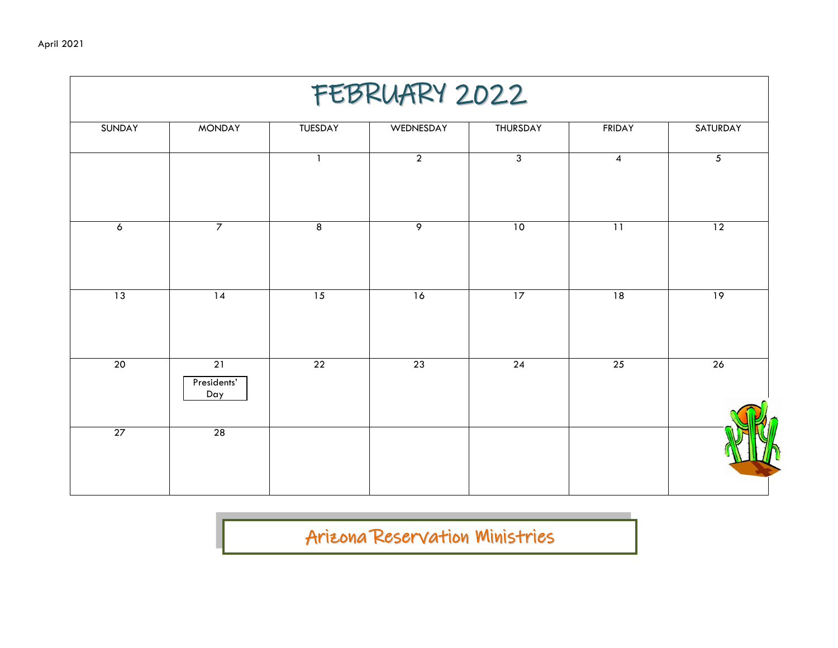| FEBRUARY 2022  |                                       |                         |                 |                 |                          |                |  |  |  |  |
|----------------|---------------------------------------|-------------------------|-----------------|-----------------|--------------------------|----------------|--|--|--|--|
| SUNDAY         | <b>MONDAY</b>                         | TUESDAY                 | WEDNESDAY       | THURSDAY        | <b>FRIDAY</b>            | SATURDAY       |  |  |  |  |
|                |                                       | $\mathbf{1}$            | $\overline{2}$  | $\overline{3}$  | $\overline{\mathcal{A}}$ | $\overline{5}$ |  |  |  |  |
| $\pmb{\delta}$ | $\overline{7}$                        | $\overline{\mathbf{8}}$ | ୨               | 10              | $\overline{11}$          | 12             |  |  |  |  |
| 13             | 14                                    | 15                      | 16              | 17              | 18                       | 19             |  |  |  |  |
| 20             | $\overline{21}$<br>Presidents'<br>Day | $\overline{22}$         | $\overline{23}$ | $\overline{24}$ | $\overline{25}$          | 26             |  |  |  |  |
| 27             | 28                                    |                         |                 |                 |                          |                |  |  |  |  |
|                |                                       |                         |                 |                 |                          |                |  |  |  |  |

Arizona Reservation Ministries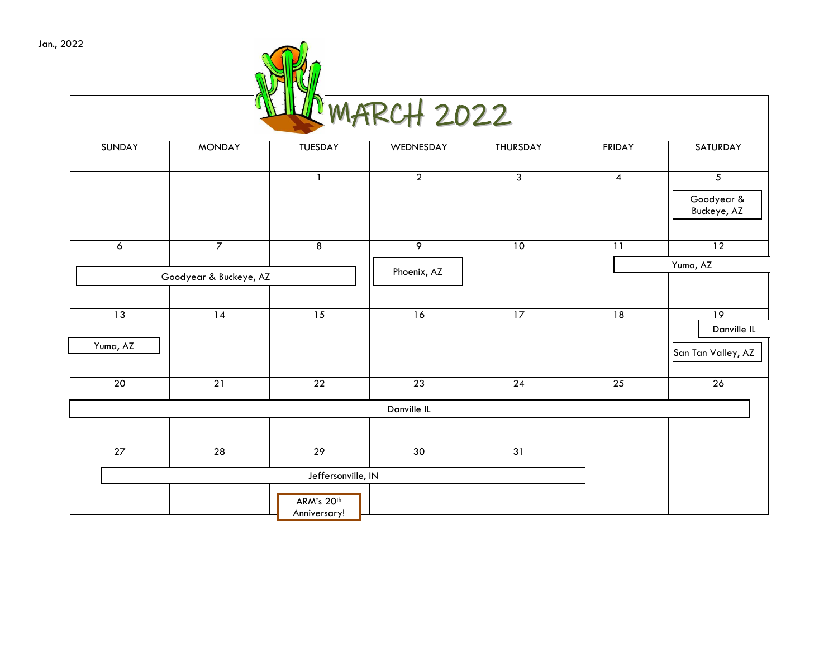| Jan., 2022 |
|------------|
|            |

| NOW MARCH 2022 |  |
|----------------|--|

| <b>SUNDAY</b>   | <b>MONDAY</b>          | <b>TUESDAY</b>             | WEDNESDAY       | <b>THURSDAY</b> | <b>FRIDAY</b>    | SATURDAY                                    |
|-----------------|------------------------|----------------------------|-----------------|-----------------|------------------|---------------------------------------------|
|                 |                        | $\overline{\phantom{a}}$   | $\overline{2}$  | $\overline{3}$  | $\boldsymbol{4}$ | $\overline{5}$<br>Goodyear &<br>Buckeye, AZ |
| $\overline{6}$  | $\overline{7}$         | $\overline{8}$             | $\overline{9}$  | 10              | $\overline{11}$  | $\overline{12}$                             |
|                 | Goodyear & Buckeye, AZ |                            | Phoenix, AZ     |                 |                  | Yuma, AZ                                    |
|                 |                        |                            |                 |                 |                  |                                             |
| $\overline{13}$ | $\overline{14}$        | 15                         | 16              | 17              | 18               | 19                                          |
| Yuma, AZ        |                        |                            |                 |                 |                  | Danville IL<br>San Tan Valley, AZ           |
| $\overline{20}$ | $\overline{21}$        | $\overline{22}$            | $\overline{23}$ | $\overline{24}$ | $\overline{25}$  | 26                                          |
|                 |                        |                            | Danville IL     |                 |                  |                                             |
|                 |                        |                            |                 |                 |                  |                                             |
| 27              | 28                     | 29                         | 30              | 31              |                  |                                             |
|                 |                        | Jeffersonville, IN         |                 |                 |                  |                                             |
|                 |                        | ARM's 20th<br>Anniversary! |                 |                 |                  |                                             |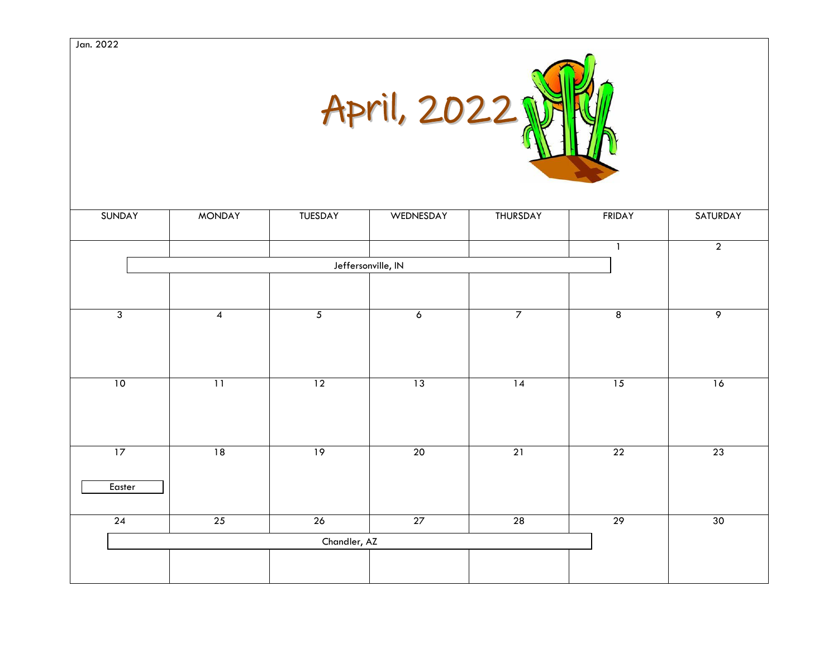

| SUNDAY         | <b>MONDAY</b>   | <b>TUESDAY</b> | WEDNESDAY          | THURSDAY       | <b>FRIDAY</b>   | SATURDAY       |
|----------------|-----------------|----------------|--------------------|----------------|-----------------|----------------|
|                |                 |                |                    |                | ា               | $\overline{2}$ |
|                |                 |                | Jeffersonville, IN |                |                 |                |
|                |                 |                |                    |                |                 |                |
|                |                 |                |                    |                |                 |                |
| $\overline{3}$ | $\overline{4}$  | $\overline{5}$ | $\overline{6}$     | $\overline{7}$ | $\overline{8}$  | $\overline{9}$ |
|                |                 |                |                    |                |                 |                |
|                |                 |                |                    |                |                 |                |
| 10             | $\overline{11}$ | 12             | 13                 | 14             | 15              | 16             |
|                |                 |                |                    |                |                 |                |
|                |                 |                |                    |                |                 |                |
|                |                 |                |                    |                |                 |                |
| 17             | 18              | 19             | 20                 | 21             | $\overline{22}$ | 23             |
| Easter         |                 |                |                    |                |                 |                |
|                |                 |                |                    |                |                 |                |
| 24             | 25              | 26             | 27                 | 28             | 29              | 30             |
|                |                 | Chandler, AZ   |                    |                |                 |                |
|                |                 |                |                    |                |                 |                |
|                |                 |                |                    |                |                 |                |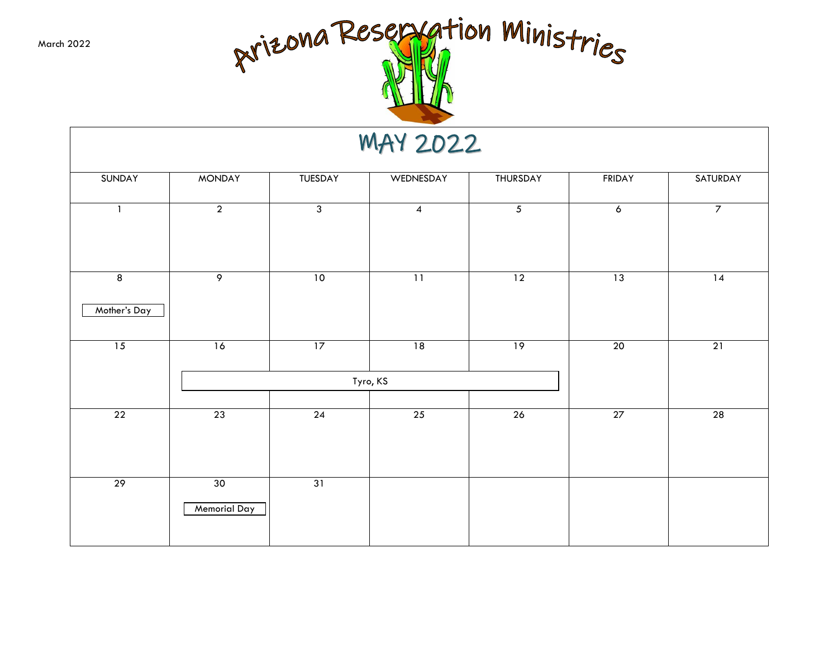March 2022



#### MAY 2022

| SUNDAY         | <b>MONDAY</b>             | TUESDAY        | WEDNESDAY               | THURSDAY       | <b>FRIDAY</b>  | SATURDAY       |
|----------------|---------------------------|----------------|-------------------------|----------------|----------------|----------------|
| $\mathbf{1}$   | $\overline{2}$            | $\overline{3}$ | $\overline{\mathbf{4}}$ | $\overline{5}$ | $\overline{6}$ | $\overline{7}$ |
| $\overline{8}$ | $\overline{9}$            | 10             | $\overline{11}$         | 12             | 13             | 14             |
| Mother's Day   |                           |                |                         |                |                |                |
| 15             | 16                        | 17             | 18                      | 19             | 20             | 21             |
|                |                           |                | Tyro, KS                |                |                |                |
| 22             | 23                        | 24             | 25                      | 26             | 27             | 28             |
| 29             | 30<br><b>Memorial Day</b> | 31             |                         |                |                |                |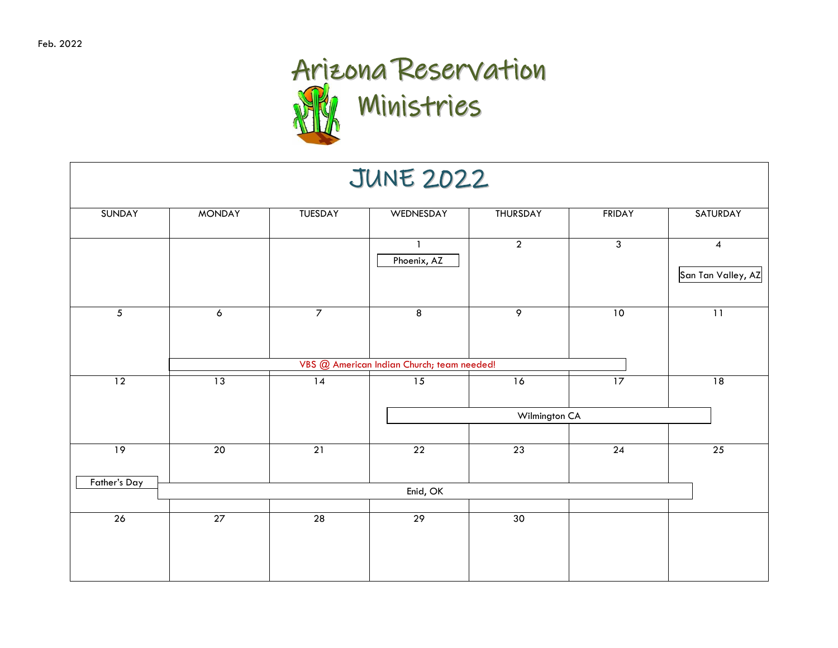### Arizona Reservation Ministries

|                 |                |                 | <b>JUNE 2022</b>                           |                 |                 |                         |
|-----------------|----------------|-----------------|--------------------------------------------|-----------------|-----------------|-------------------------|
| <b>SUNDAY</b>   | <b>MONDAY</b>  | TUESDAY         | WEDNESDAY                                  | <b>THURSDAY</b> | <b>FRIDAY</b>   | SATURDAY                |
|                 |                |                 | Phoenix, AZ                                | $\overline{2}$  | $\overline{3}$  | 4<br>San Tan Valley, AZ |
| $\overline{5}$  | $\overline{6}$ | $\overline{7}$  | $\overline{8}$                             | $\overline{9}$  | 10              | $\overline{11}$         |
|                 |                |                 | VBS @ American Indian Church; team needed! |                 |                 |                         |
| $\overline{12}$ | 13             | $\overline{14}$ | $\overline{15}$                            | 16              | 17              | 18                      |
|                 |                |                 |                                            | Wilmington CA   |                 |                         |
| 19              | 20             | $\overline{21}$ | $\overline{22}$                            | 23              | $\overline{24}$ | $\overline{25}$         |
| Father's Day    |                |                 | Enid, OK                                   |                 |                 |                         |
| 26              | 27             | 28              | 29                                         | 30              |                 |                         |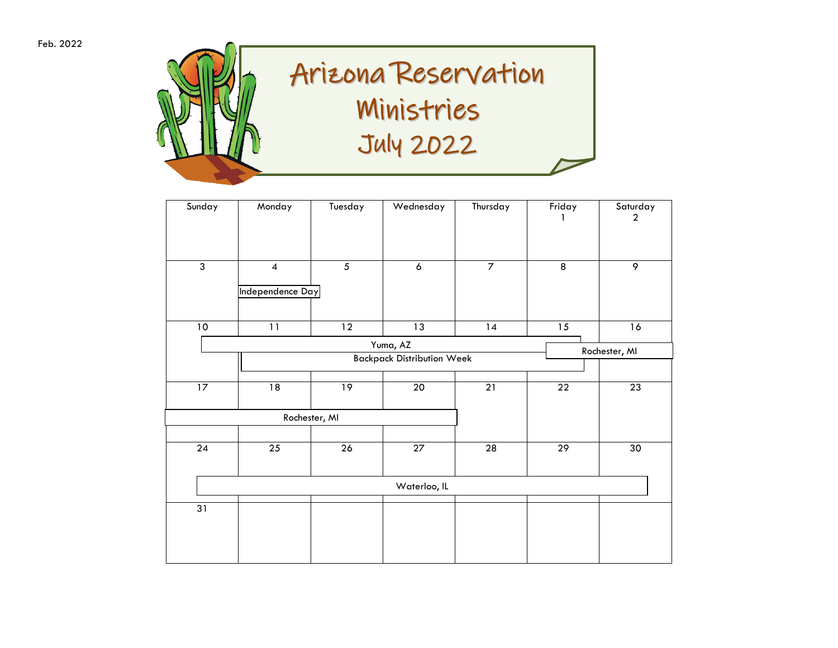

| Sunday          | Monday                   | Tuesday        | Wednesday                         | Thursday        | Friday          | Saturday<br>$\boldsymbol{2}$ |
|-----------------|--------------------------|----------------|-----------------------------------|-----------------|-----------------|------------------------------|
|                 |                          |                |                                   |                 |                 |                              |
| $\overline{3}$  | $\overline{\mathcal{A}}$ | $\overline{5}$ | $\pmb{6}$                         | $\overline{7}$  | $\overline{8}$  | 9                            |
|                 | Independence Day         |                |                                   |                 |                 |                              |
| $10\,$          | 11                       | 12             | 13                                | 14              | 15              | 16                           |
|                 |                          |                | Yuma, AZ                          |                 |                 | Rochester, MI                |
|                 |                          |                | <b>Backpack Distribution Week</b> |                 |                 |                              |
| 17              | 18                       | 19             | 20                                | $\overline{21}$ | $\overline{22}$ | 23                           |
|                 |                          | Rochester, MI  |                                   |                 |                 |                              |
| $\overline{24}$ | 25                       | 26             | 27                                | 28              | 29              | 30                           |
|                 |                          |                | Waterloo, IL                      |                 |                 |                              |
|                 |                          |                |                                   |                 |                 |                              |
| 31              |                          |                |                                   |                 |                 |                              |
|                 |                          |                |                                   |                 |                 |                              |
|                 |                          |                |                                   |                 |                 |                              |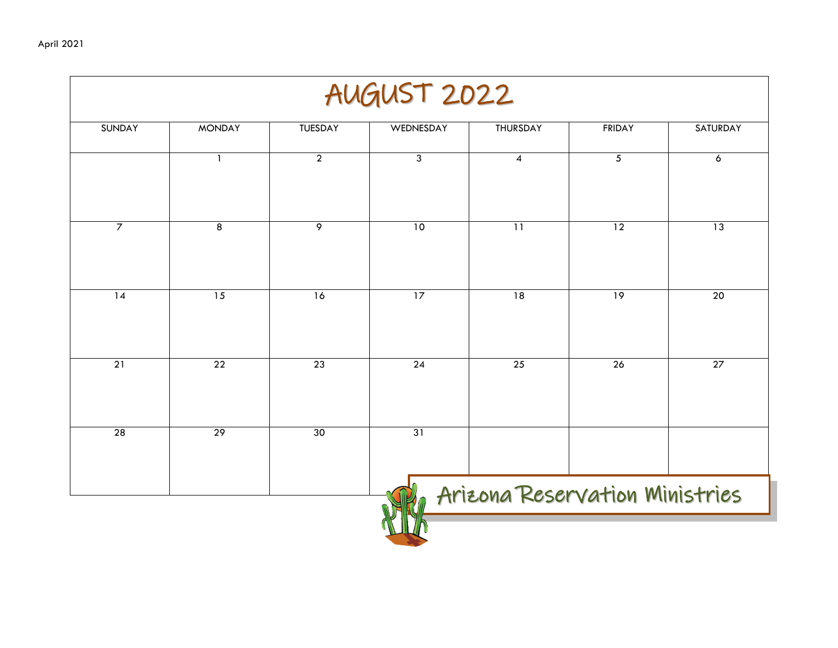|                 |                 |                 | AUGUST 2022     |                                |                 |                 |
|-----------------|-----------------|-----------------|-----------------|--------------------------------|-----------------|-----------------|
| <b>SUNDAY</b>   | <b>MONDAY</b>   | <b>TUESDAY</b>  | WEDNESDAY       | <b>THURSDAY</b>                | <b>FRIDAY</b>   | <b>SATURDAY</b> |
|                 | $\mathbf{1}$    | $\overline{2}$  | 3               | 4                              | 5               | 6               |
| $\overline{7}$  | $\overline{8}$  | $\overline{9}$  | 10              | $\overline{11}$                | $\overline{12}$ | 13              |
| $\overline{14}$ | 15              | 16              | $\overline{17}$ | $\overline{18}$                | $\overline{19}$ | $\overline{20}$ |
| $\overline{21}$ | $\overline{22}$ | $\overline{23}$ | $\overline{24}$ | $\overline{25}$                | $\overline{26}$ | 27              |
| 28              | 29              | 30              | 31              |                                |                 |                 |
|                 |                 |                 |                 | Arizona Reservation Ministries |                 |                 |
|                 |                 |                 |                 |                                |                 |                 |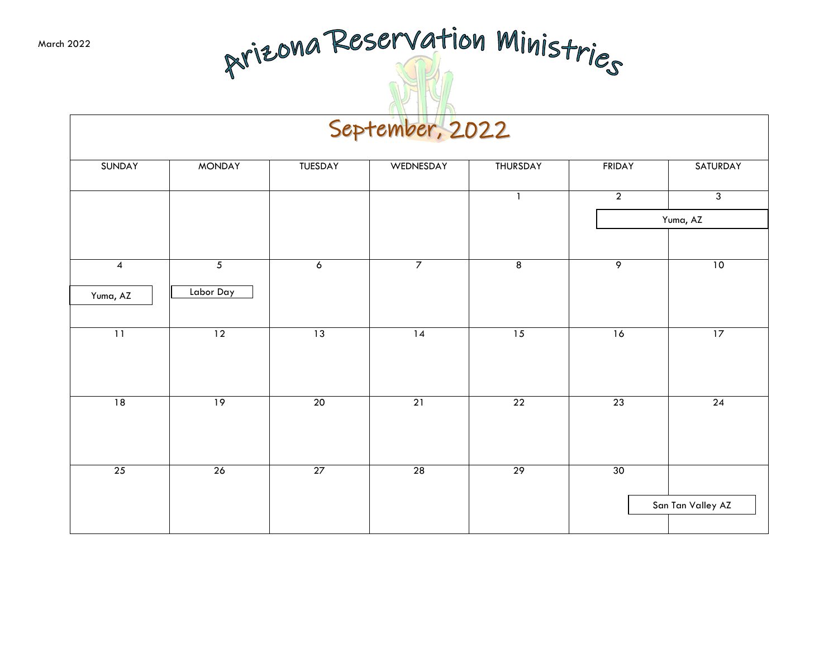# Arizona Reservation Ministries

#### September, 2022

| SUNDAY                   | <b>MONDAY</b>   | TUESDAY             | WEDNESDAY       | THURSDAY        | <b>FRIDAY</b>  | SATURDAY          |
|--------------------------|-----------------|---------------------|-----------------|-----------------|----------------|-------------------|
|                          |                 |                     |                 | $\mathbf{1}$    | $\overline{2}$ | $\overline{3}$    |
|                          |                 |                     |                 |                 |                | Yuma, AZ          |
|                          |                 |                     |                 |                 |                |                   |
| $\overline{\mathcal{A}}$ | $\overline{5}$  | $\ddot{\mathbf{6}}$ | $\overline{7}$  | $\overline{8}$  | 9              | 10                |
| Yuma, AZ                 | Labor Day       |                     |                 |                 |                |                   |
| $\overline{11}$          | $\overline{12}$ | 13                  | $\overline{14}$ | 15              | 16             | 17                |
|                          |                 |                     |                 |                 |                |                   |
| 18                       | 19              | 20                  | 21              | 22              | 23             | 24                |
|                          |                 |                     |                 |                 |                |                   |
| 25                       | 26              | 27                  | 28              | $\overline{29}$ | 30             |                   |
|                          |                 |                     |                 |                 |                | San Tan Valley AZ |
|                          |                 |                     |                 |                 |                |                   |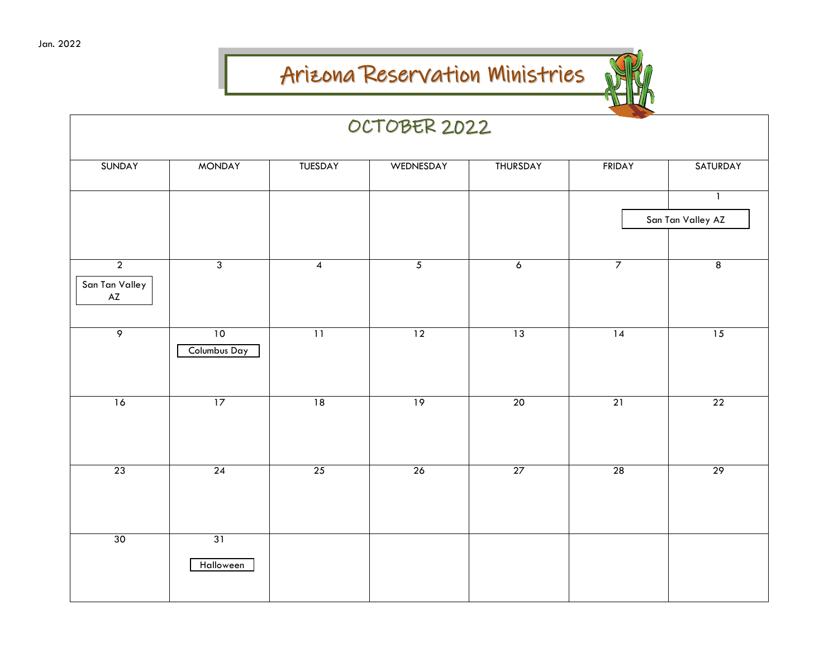#### Arizona Reservation Ministries



|                                                   |                    |                 | OCTOBER 2022   |                |                 |                                   |
|---------------------------------------------------|--------------------|-----------------|----------------|----------------|-----------------|-----------------------------------|
| SUNDAY                                            | <b>MONDAY</b>      | TUESDAY         | WEDNESDAY      | THURSDAY       | <b>FRIDAY</b>   | SATURDAY                          |
|                                                   |                    |                 |                |                |                 | $\mathbf{1}$<br>San Tan Valley AZ |
|                                                   |                    |                 |                |                |                 |                                   |
| $\overline{2}$<br>San Tan Valley<br>$\mathsf{AZ}$ | $\overline{3}$     | $\overline{4}$  | $\overline{5}$ | $\overline{6}$ | $\overline{7}$  | $\overline{8}$                    |
| $\overline{9}$                                    | 10<br>Columbus Day | $\overline{11}$ | 12             | 13             | $\overline{14}$ | 15                                |
| 16                                                | $\overline{17}$    | 18              | 19             | 20             | 21              | $\overline{22}$                   |
| 23                                                | 24                 | 25              | 26             | 27             | 28              | 29                                |
| 30                                                | 31<br>Halloween    |                 |                |                |                 |                                   |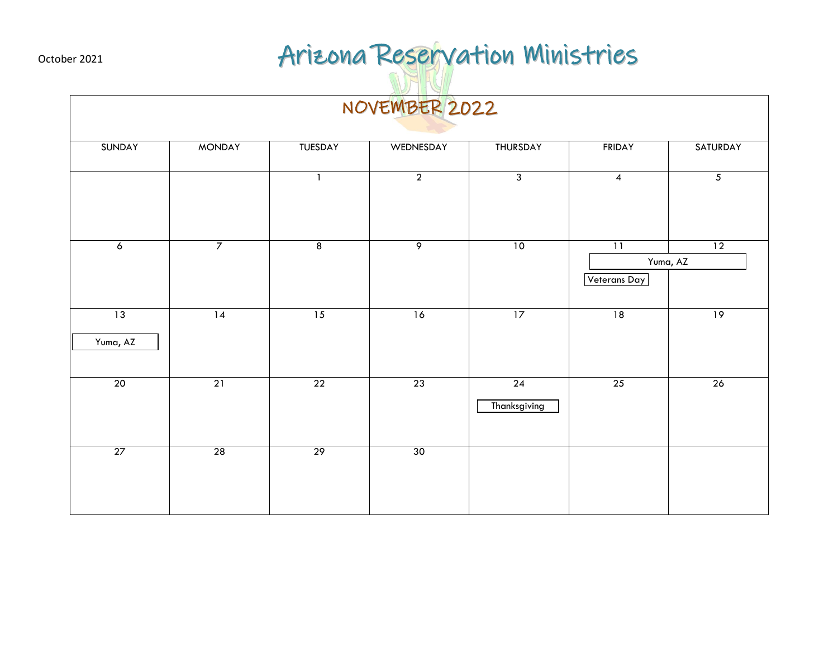## October 2021 **Arizona Reservation Ministries**

|                |                |                 | NOVEMBER 2022  |                    |                                 |                |
|----------------|----------------|-----------------|----------------|--------------------|---------------------------------|----------------|
| SUNDAY         | <b>MONDAY</b>  | TUESDAY         | WEDNESDAY      | THURSDAY           | <b>FRIDAY</b>                   | SATURDAY       |
|                |                | $\mathbf{1}$    | $\overline{2}$ | $\overline{3}$     | $\overline{4}$                  | $\overline{5}$ |
| $\overline{6}$ | $\overline{7}$ | $\overline{8}$  | $\overline{9}$ | 10                 | $\overline{11}$<br>Veterans Day | 12<br>Yuma, AZ |
| 13<br>Yuma, AZ | 14             | $\overline{15}$ | 16             | 17                 | 18                              | 19             |
| 20             | 21             | 22              | 23             | 24<br>Thanksgiving | 25                              | 26             |
| 27             | 28             | 29              | 30             |                    |                                 |                |